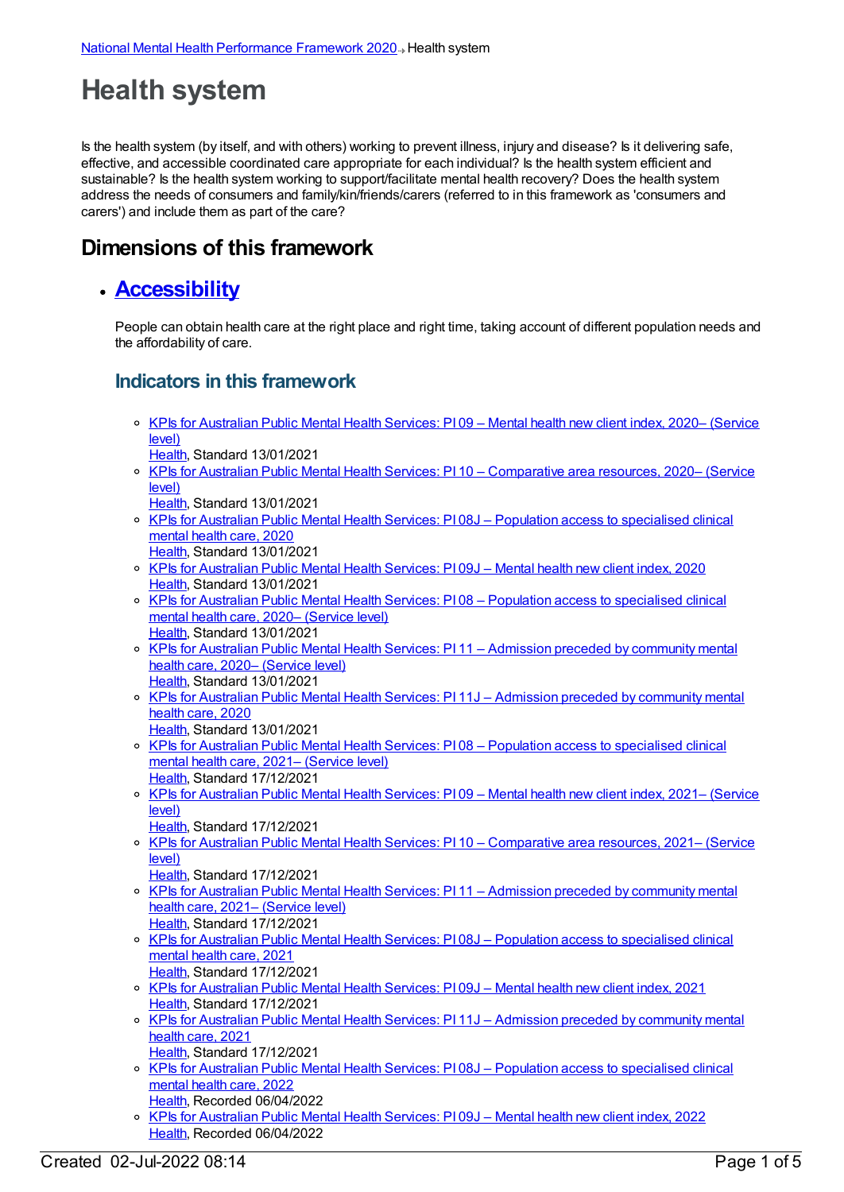# **Health system**

Is the health system (by itself, and with others) working to prevent illness, injury and disease? Is it delivering safe, effective, and accessible coordinated care appropriate for each individual? Is the health system efficient and sustainable? Is the health system working to support/facilitate mental health recovery? Does the health system address the needs of consumers and family/kin/friends/carers (referred to in this framework as 'consumers and carers') and include them as part of the care?

## **Dimensions of this framework**

#### **[Accessibility](https://meteor.aihw.gov.au/content/721203)**

People can obtain health care at the right place and right time, taking account of different population needs and the affordability of care.

- KPIs for [Australian](https://meteor.aihw.gov.au/content/725519) Public Mental Health Services: PI 09 Mental health new client index, 2020– (Service level)
	- [Health](https://meteor.aihw.gov.au/RegistrationAuthority/12), Standard 13/01/2021
- o KPIs for Australian Public Mental Health Services: PI 10 [Comparative](https://meteor.aihw.gov.au/content/725515) area resources, 2020– (Service level)
- [Health](https://meteor.aihw.gov.au/RegistrationAuthority/12), Standard 13/01/2021
- KPIs for Australian Public Mental Health Services: PI 08J Population access to [specialised](https://meteor.aihw.gov.au/content/723386) clinical mental health care, 2020
- [Health](https://meteor.aihw.gov.au/RegistrationAuthority/12), Standard 13/01/2021
- KPIs for [Australian](https://meteor.aihw.gov.au/content/723379) Public Mental Health Services: PI 09J Mental health new client index, 2020 [Health](https://meteor.aihw.gov.au/RegistrationAuthority/12), Standard 13/01/2021
- KPIs for Australian Public Mental Health Services: PI 08 Population access to [specialised](https://meteor.aihw.gov.au/content/727379) clinical mental health care, 2020– (Service level) [Health](https://meteor.aihw.gov.au/RegistrationAuthority/12), Standard 13/01/2021
- o KPIs for Australian Public Mental Health Services: PI 11 Admission preceded by [community](https://meteor.aihw.gov.au/content/725532) mental health care, 2020– (Service level) [Health](https://meteor.aihw.gov.au/RegistrationAuthority/12), Standard 13/01/2021
- o KPIs for Australian Public Mental Health Services: PI 11J Admission preceded by [community](https://meteor.aihw.gov.au/content/723365) mental health care, 2020
- [Health](https://meteor.aihw.gov.au/RegistrationAuthority/12), Standard 13/01/2021 o KPIs for Australian Public Mental Health Services: PI 08 - Population access to [specialised](https://meteor.aihw.gov.au/content/742478) clinical mental health care, 2021– (Service level)
- [Health](https://meteor.aihw.gov.au/RegistrationAuthority/12), Standard 17/12/2021
- o KPIs for [Australian](https://meteor.aihw.gov.au/content/742481) Public Mental Health Services: PI 09 Mental health new client index, 2021– (Service level)
- [Health](https://meteor.aihw.gov.au/RegistrationAuthority/12), Standard 17/12/2021
- KPIs for Australian Public Mental Health Services: PI 10 [Comparative](https://meteor.aihw.gov.au/content/742484) area resources, 2021– (Service level)
- [Health](https://meteor.aihw.gov.au/RegistrationAuthority/12), Standard 17/12/2021 KPIs for Australian Public Mental Health Services: PI 11 – Admission preceded by [community](https://meteor.aihw.gov.au/content/742487) mental health care, 2021– (Service level) [Health](https://meteor.aihw.gov.au/RegistrationAuthority/12), Standard 17/12/2021
- o KPIs for Australian Public Mental Health Services: PI 08J Population access to [specialised](https://meteor.aihw.gov.au/content/739887) clinical mental health care, 2021 [Health](https://meteor.aihw.gov.au/RegistrationAuthority/12), Standard 17/12/2021
- KPIs for [Australian](https://meteor.aihw.gov.au/content/739889) Public Mental Health Services: PI 09J Mental health new client index, 2021 [Health](https://meteor.aihw.gov.au/RegistrationAuthority/12), Standard 17/12/2021
- KPIs for Australian Public Mental Health Services: PI 11J Admission preceded by [community](https://meteor.aihw.gov.au/content/739893) mental health care, 2021 [Health](https://meteor.aihw.gov.au/RegistrationAuthority/12), Standard 17/12/2021
- KPIs for Australian Public Mental Health Services: PI 08J Population access to [specialised](https://meteor.aihw.gov.au/content/753259) clinical mental health care, 2022 [Health](https://meteor.aihw.gov.au/RegistrationAuthority/12), Recorded 06/04/2022
- KPIs for [Australian](https://meteor.aihw.gov.au/content/753261) Public Mental Health Services: PI 09J Mental health new client index, 2022 [Health](https://meteor.aihw.gov.au/RegistrationAuthority/12), Recorded 06/04/2022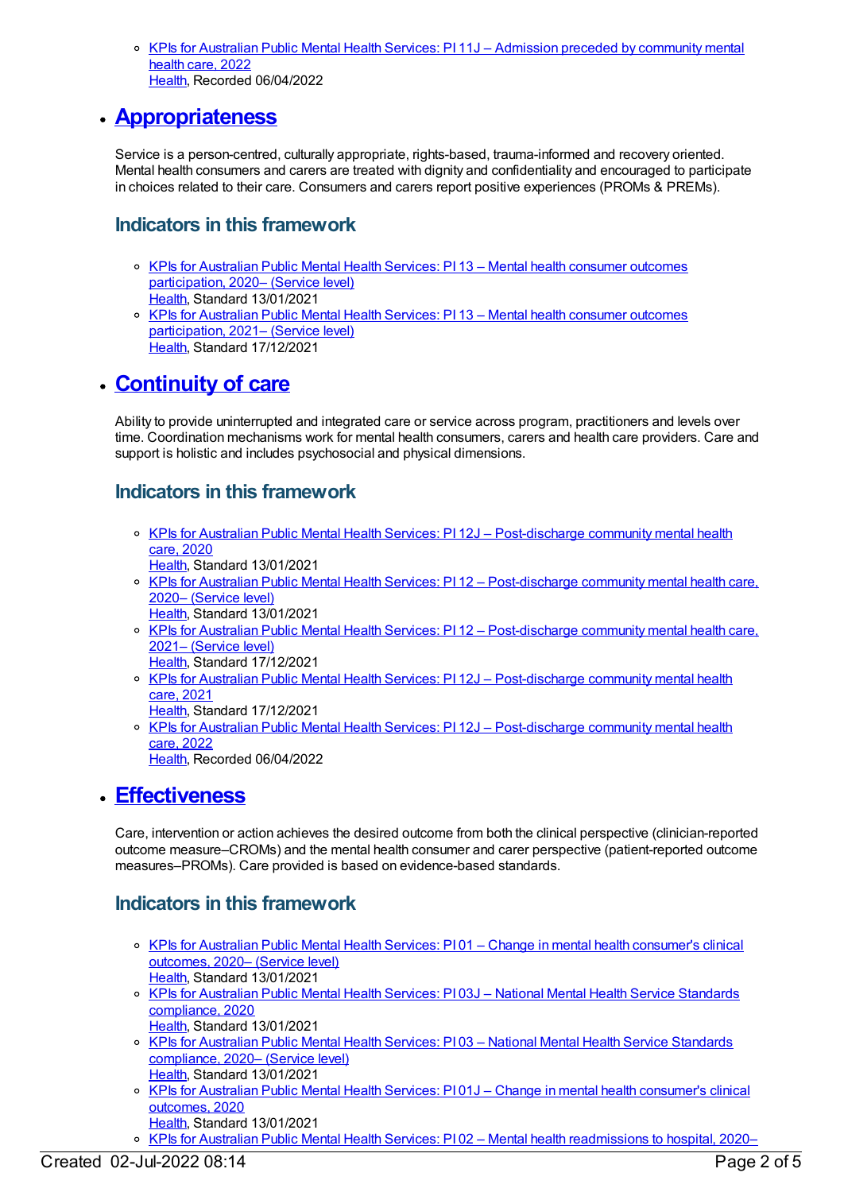KPIs for Australian Public Mental Health Services: PI 11J – Admission preceded by [community](https://meteor.aihw.gov.au/content/753263) mental health care, 2022 [Health](https://meteor.aihw.gov.au/RegistrationAuthority/12), Recorded 06/04/2022

#### **[Appropriateness](https://meteor.aihw.gov.au/content/721198)**

Service is a person-centred, culturally appropriate, rights-based, trauma-informed and recovery oriented. Mental health consumers and carers are treated with dignity and confidentiality and encouraged to participate in choices related to their care. Consumers and carers report positive experiences (PROMs & PREMs).

#### **Indicators in this framework**

- KPIs for Australian Public Mental Health Services: PI 13 Mental health consumer outcomes [participation,](https://meteor.aihw.gov.au/content/725517) 2020– (Service level) [Health](https://meteor.aihw.gov.au/RegistrationAuthority/12), Standard 13/01/2021
- o KPIs for Australian Public Mental Health Services: PI 13 Mental health consumer outcomes [participation,](https://meteor.aihw.gov.au/content/742495) 2021- (Service level) [Health](https://meteor.aihw.gov.au/RegistrationAuthority/12), Standard 17/12/2021

## **[Continuity](https://meteor.aihw.gov.au/content/721201) of care**

Ability to provide uninterrupted and integrated care or service across program, practitioners and levels over time. Coordination mechanisms work for mental health consumers, carers and health care providers. Care and support is holistic and includes psychosocial and physical dimensions.

#### **Indicators in this framework**

- o KPIs for Australian Public Mental Health Services: PI 12J [Post-discharge](https://meteor.aihw.gov.au/content/723388) community mental health care, 2020
	- [Health](https://meteor.aihw.gov.au/RegistrationAuthority/12), Standard 13/01/2021
- KPIs for Australian Public Mental Health Services: PI 12 [Post-discharge](https://meteor.aihw.gov.au/content/725530) community mental health care, 2020– (Service level) [Health](https://meteor.aihw.gov.au/RegistrationAuthority/12), Standard 13/01/2021
- KPIs for Australian Public Mental Health Services: PI 12 [Post-discharge](https://meteor.aihw.gov.au/content/742489) community mental health care, 2021– (Service level)
	- [Health](https://meteor.aihw.gov.au/RegistrationAuthority/12), Standard 17/12/2021
- KPIs for Australian Public Mental Health Services: PI 12J [Post-discharge](https://meteor.aihw.gov.au/content/739895) community mental health care, 2021
- [Health](https://meteor.aihw.gov.au/RegistrationAuthority/12), Standard 17/12/2021 ○ KPIs for Australian Public Mental Health Services: PI 12J – [Post-discharge](https://meteor.aihw.gov.au/content/753267) community mental health care, 2022 [Health](https://meteor.aihw.gov.au/RegistrationAuthority/12), Recorded 06/04/2022

#### **[Effectiveness](https://meteor.aihw.gov.au/content/721196)**

Care, intervention or action achieves the desired outcome from both the clinical perspective (clinician-reported outcome measure–CROMs) and the mental health consumer and carer perspective (patient-reported outcome measures–PROMs). Care provided is based on evidence-based standards.

- KPIs for Australian Public Mental Health Services: PI 01 Change in mental health [consumer's](https://meteor.aihw.gov.au/content/725513) clinical outcomes, 2020– (Service level) [Health](https://meteor.aihw.gov.au/RegistrationAuthority/12), Standard 13/01/2021
- KPIs for Australian Public Mental Health Services: PI 03J National Mental Health Service Standards [compliance,](https://meteor.aihw.gov.au/content/723384) 2020 [Health](https://meteor.aihw.gov.au/RegistrationAuthority/12), Standard 13/01/2021
- o KPIs for Australian Public Mental Health Services: PI 03 National Mental Health Service Standards [compliance,](https://meteor.aihw.gov.au/content/725527) 2020– (Service level) [Health](https://meteor.aihw.gov.au/RegistrationAuthority/12), Standard 13/01/2021
- o KPIs for Australian Public Mental Health Services: PI 01J Change in mental health [consumer's](https://meteor.aihw.gov.au/content/723377) clinical outcomes, 2020
- [Health](https://meteor.aihw.gov.au/RegistrationAuthority/12), Standard 13/01/2021
- KPIs for Australian Public Mental Health Services: PI 02 Mental health [readmissions](https://meteor.aihw.gov.au/content/725525) to hospital, 2020–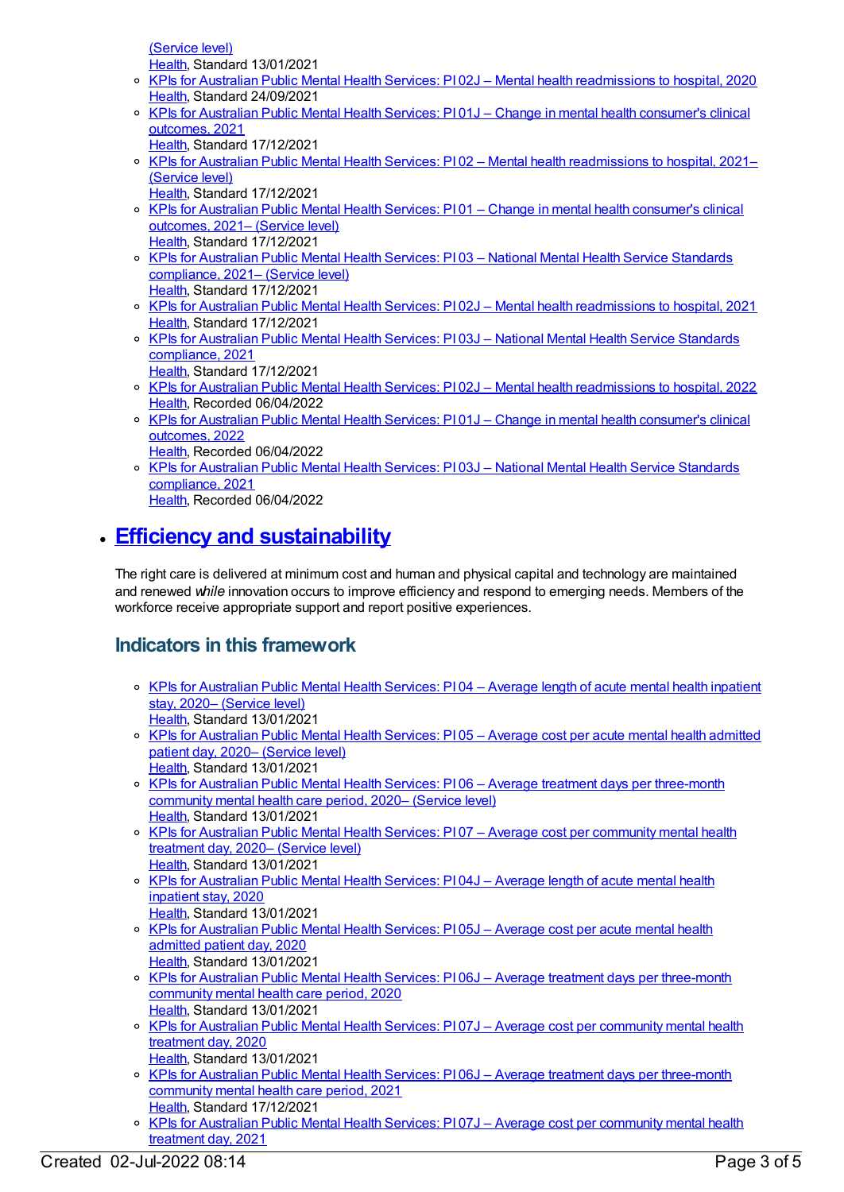(Service level) [Health](https://meteor.aihw.gov.au/RegistrationAuthority/12), Standard 13/01/2021

- KPIs for Australian Public Mental Health Services: PI 02J Mental health [readmissions](https://meteor.aihw.gov.au/content/723381) to hospital, 2020 [Health](https://meteor.aihw.gov.au/RegistrationAuthority/12), Standard 24/09/2021
- KPIs for Australian Public Mental Health Services: PI 01J Change in mental health [consumer's](https://meteor.aihw.gov.au/content/739867) clinical outcomes, 2021
- [Health](https://meteor.aihw.gov.au/RegistrationAuthority/12), Standard 17/12/2021
- o KPIs for Australian Public Mental Health Services: PI 02 Mental health [readmissions](https://meteor.aihw.gov.au/content/742460) to hospital, 2021– (Service level)
- [Health](https://meteor.aihw.gov.au/RegistrationAuthority/12), Standard 17/12/2021
- KPIs for Australian Public Mental Health Services: PI 01 Change in mental health [consumer's](https://meteor.aihw.gov.au/content/742458) clinical outcomes, 2021– (Service level) [Health](https://meteor.aihw.gov.au/RegistrationAuthority/12), Standard 17/12/2021
- KPIs for Australian Public Mental Health Services: PI 03 National Mental Health Service Standards [compliance,](https://meteor.aihw.gov.au/content/742463) 2021– (Service level) [Health](https://meteor.aihw.gov.au/RegistrationAuthority/12), Standard 17/12/2021
- KPIs for Australian Public Mental Health Services: PI 02J Mental health [readmissions](https://meteor.aihw.gov.au/content/739871) to hospital, 2021 [Health](https://meteor.aihw.gov.au/RegistrationAuthority/12), Standard 17/12/2021
- KPIs for Australian Public Mental Health Services: PI 03J National Mental Health Service Standards [compliance,](https://meteor.aihw.gov.au/content/739876) 2021 [Health](https://meteor.aihw.gov.au/RegistrationAuthority/12), Standard 17/12/2021
- KPIs for Australian Public Mental Health Services: PI 02J Mental health [readmissions](https://meteor.aihw.gov.au/content/753238) to hospital, 2022 [Health](https://meteor.aihw.gov.au/RegistrationAuthority/12), Recorded 06/04/2022
- KPIs for Australian Public Mental Health Services: PI 01J Change in mental health [consumer's](https://meteor.aihw.gov.au/content/753236) clinical outcomes, 2022
- [Health](https://meteor.aihw.gov.au/RegistrationAuthority/12), Recorded 06/04/2022 KPIs for Australian Public Mental Health Services: PI 03J – National Mental Health Service [Standards](https://meteor.aihw.gov.au/content/753242) compliance, 2021 [Health](https://meteor.aihw.gov.au/RegistrationAuthority/12), Recorded 06/04/2022

## **Efficiency and [sustainability](https://meteor.aihw.gov.au/content/721208)**

The right care is delivered at minimum cost and human and physical capital and technology are maintained and renewed *while* innovation occurs to improve efficiency and respond to emerging needs. Members of the workforce receive appropriate support and report positive experiences.

- KPIs for [Australian](https://meteor.aihw.gov.au/content/725507) Public Mental Health Services: PI 04 Average length of acute mental health inpatient stay, 2020– (Service level) [Health](https://meteor.aihw.gov.au/RegistrationAuthority/12), Standard 13/01/2021
- o KPIs for [Australian](https://meteor.aihw.gov.au/content/725503) Public Mental Health Services: PI 05 Average cost per acute mental health admitted patient day, 2020– (Service level) [Health](https://meteor.aihw.gov.au/RegistrationAuthority/12), Standard 13/01/2021
- o KPIs for Australian Public Mental Health Services: PI 06 Average treatment days per [three-month](https://meteor.aihw.gov.au/content/725509) community mental health care period, 2020– (Service level) [Health](https://meteor.aihw.gov.au/RegistrationAuthority/12), Standard 13/01/2021
- o KPIs for Australian Public Mental Health Services: PI 07 Average cost per [community](https://meteor.aihw.gov.au/content/725505) mental health treatment day, 2020– (Service level) [Health](https://meteor.aihw.gov.au/RegistrationAuthority/12), Standard 13/01/2021
- KPIs for [Australian](https://meteor.aihw.gov.au/content/723369) Public Mental Health Services: PI 04J Average length of acute mental health inpatient stay, 2020
- [Health](https://meteor.aihw.gov.au/RegistrationAuthority/12), Standard 13/01/2021 KPIs for [Australian](https://meteor.aihw.gov.au/content/720499) Public Mental Health Services: PI 05J – Average cost per acute mental health admitted patient day, 2020 [Health](https://meteor.aihw.gov.au/RegistrationAuthority/12), Standard 13/01/2021
- o KPIs for Australian Public Mental Health Services: PI 06J Average treatment days per [three-month](https://meteor.aihw.gov.au/content/723371) community mental health care period, 2020 [Health](https://meteor.aihw.gov.au/RegistrationAuthority/12), Standard 13/01/2021
- o KPIs for Australian Public Mental Health Services: PI 07J Average cost per [community](https://meteor.aihw.gov.au/content/723367) mental health treatment day, 2020
- [Health](https://meteor.aihw.gov.au/RegistrationAuthority/12), Standard 13/01/2021
- o KPIs for Australian Public Mental Health Services: PI 06J Average treatment days per [three-month](https://meteor.aihw.gov.au/content/739882) community mental health care period, 2021 [Health](https://meteor.aihw.gov.au/RegistrationAuthority/12), Standard 17/12/2021
- o KPIs for Australian Public Mental Health Services: PI 07J Average cost per [community](https://meteor.aihw.gov.au/content/739885) mental health treatment day, 2021